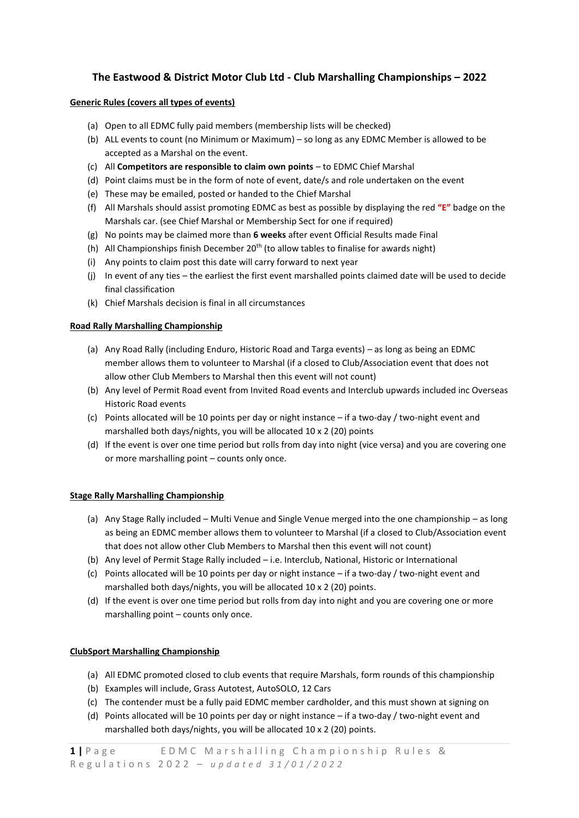# **The Eastwood & District Motor Club Ltd - Club Marshalling Championships – 2022**

## **Generic Rules (covers all types of events)**

- (a) Open to all EDMC fully paid members (membership lists will be checked)
- (b) ALL events to count (no Minimum or Maximum) so long as any EDMC Member is allowed to be accepted as a Marshal on the event.
- (c) All **Competitors are responsible to claim own points** to EDMC Chief Marshal
- (d) Point claims must be in the form of note of event, date/s and role undertaken on the event
- (e) These may be emailed, posted or handed to the Chief Marshal
- (f) All Marshals should assist promoting EDMC as best as possible by displaying the red **"E"** badge on the Marshals car. (see Chief Marshal or Membership Sect for one if required)
- (g) No points may be claimed more than **6 weeks** after event Official Results made Final
- (h) All Championships finish December  $20<sup>th</sup>$  (to allow tables to finalise for awards night)
- (i) Any points to claim post this date will carry forward to next year
- (j) In event of any ties the earliest the first event marshalled points claimed date will be used to decide final classification
- (k) Chief Marshals decision is final in all circumstances

## **Road Rally Marshalling Championship**

- (a) Any Road Rally (including Enduro, Historic Road and Targa events) as long as being an EDMC member allows them to volunteer to Marshal (if a closed to Club/Association event that does not allow other Club Members to Marshal then this event will not count)
- (b) Any level of Permit Road event from Invited Road events and Interclub upwards included inc Overseas Historic Road events
- (c) Points allocated will be 10 points per day or night instance if a two-day / two-night event and marshalled both days/nights, you will be allocated 10 x 2 (20) points
- (d) If the event is over one time period but rolls from day into night (vice versa) and you are covering one or more marshalling point – counts only once.

### **Stage Rally Marshalling Championship**

- (a) Any Stage Rally included Multi Venue and Single Venue merged into the one championship as long as being an EDMC member allows them to volunteer to Marshal (if a closed to Club/Association event that does not allow other Club Members to Marshal then this event will not count)
- (b) Any level of Permit Stage Rally included i.e. Interclub, National, Historic or International
- (c) Points allocated will be 10 points per day or night instance if a two-day / two-night event and marshalled both days/nights, you will be allocated 10 x 2 (20) points.
- (d) If the event is over one time period but rolls from day into night and you are covering one or more marshalling point – counts only once.

# **ClubSport Marshalling Championship**

- (a) All EDMC promoted closed to club events that require Marshals, form rounds of this championship
- (b) Examples will include, Grass Autotest, AutoSOLO, 12 Cars
- (c) The contender must be a fully paid EDMC member cardholder, and this must shown at signing on
- (d) Points allocated will be 10 points per day or night instance if a two-day / two-night event and marshalled both days/nights, you will be allocated 10 x 2 (20) points.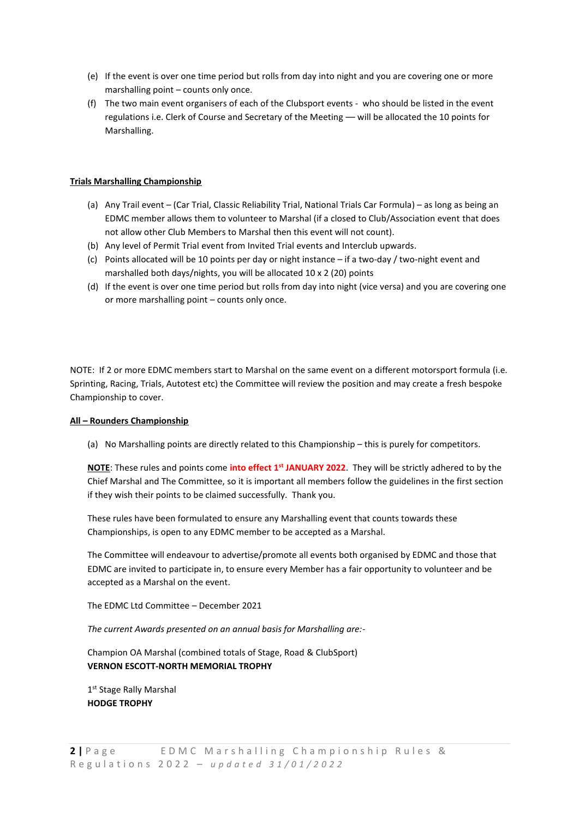- (e) If the event is over one time period but rolls from day into night and you are covering one or more marshalling point – counts only once.
- (f) The two main event organisers of each of the Clubsport events who should be listed in the event regulations i.e. Clerk of Course and Secretary of the Meeting –– will be allocated the 10 points for Marshalling.

### **Trials Marshalling Championship**

- (a) Any Trail event (Car Trial, Classic Reliability Trial, National Trials Car Formula) as long as being an EDMC member allows them to volunteer to Marshal (if a closed to Club/Association event that does not allow other Club Members to Marshal then this event will not count).
- (b) Any level of Permit Trial event from Invited Trial events and Interclub upwards.
- (c) Points allocated will be 10 points per day or night instance if a two-day / two-night event and marshalled both days/nights, you will be allocated 10 x 2 (20) points
- (d) If the event is over one time period but rolls from day into night (vice versa) and you are covering one or more marshalling point – counts only once.

NOTE: If 2 or more EDMC members start to Marshal on the same event on a different motorsport formula (i.e. Sprinting, Racing, Trials, Autotest etc) the Committee will review the position and may create a fresh bespoke Championship to cover.

### **All – Rounders Championship**

(a) No Marshalling points are directly related to this Championship – this is purely for competitors.

**NOTE**: These rules and points come **into effect 1 st JANUARY 2022**. They will be strictly adhered to by the Chief Marshal and The Committee, so it is important all members follow the guidelines in the first section if they wish their points to be claimed successfully. Thank you.

These rules have been formulated to ensure any Marshalling event that counts towards these Championships, is open to any EDMC member to be accepted as a Marshal.

The Committee will endeavour to advertise/promote all events both organised by EDMC and those that EDMC are invited to participate in, to ensure every Member has a fair opportunity to volunteer and be accepted as a Marshal on the event.

The EDMC Ltd Committee – December 2021

*The current Awards presented on an annual basis for Marshalling are:-*

Champion OA Marshal (combined totals of Stage, Road & ClubSport) **VERNON ESCOTT-NORTH MEMORIAL TROPHY**

1st Stage Rally Marshal **HODGE TROPHY**